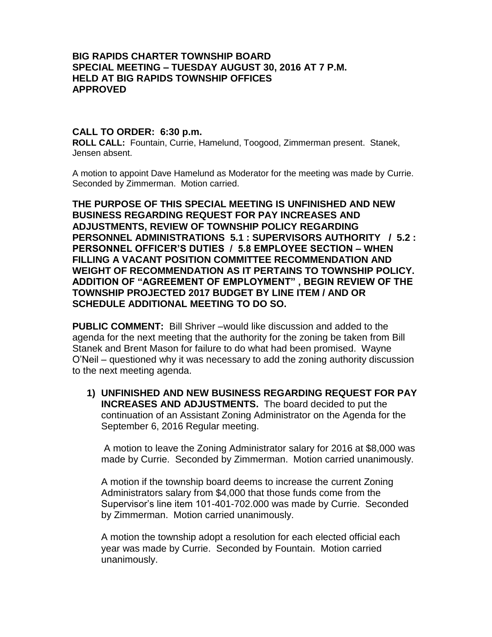## **BIG RAPIDS CHARTER TOWNSHIP BOARD SPECIAL MEETING – TUESDAY AUGUST 30, 2016 AT 7 P.M. HELD AT BIG RAPIDS TOWNSHIP OFFICES APPROVED**

## **CALL TO ORDER: 6:30 p.m.**

**ROLL CALL:** Fountain, Currie, Hamelund, Toogood, Zimmerman present. Stanek, Jensen absent.

A motion to appoint Dave Hamelund as Moderator for the meeting was made by Currie. Seconded by Zimmerman. Motion carried.

**THE PURPOSE OF THIS SPECIAL MEETING IS UNFINISHED AND NEW BUSINESS REGARDING REQUEST FOR PAY INCREASES AND ADJUSTMENTS, REVIEW OF TOWNSHIP POLICY REGARDING PERSONNEL ADMINISTRATIONS 5.1 : SUPERVISORS AUTHORITY / 5.2 : PERSONNEL OFFICER'S DUTIES / 5.8 EMPLOYEE SECTION – WHEN FILLING A VACANT POSITION COMMITTEE RECOMMENDATION AND WEIGHT OF RECOMMENDATION AS IT PERTAINS TO TOWNSHIP POLICY. ADDITION OF "AGREEMENT OF EMPLOYMENT" , BEGIN REVIEW OF THE TOWNSHIP PROJECTED 2017 BUDGET BY LINE ITEM / AND OR SCHEDULE ADDITIONAL MEETING TO DO SO.**

**PUBLIC COMMENT:** Bill Shriver –would like discussion and added to the agenda for the next meeting that the authority for the zoning be taken from Bill Stanek and Brent Mason for failure to do what had been promised. Wayne O'Neil – questioned why it was necessary to add the zoning authority discussion to the next meeting agenda.

**1) UNFINISHED AND NEW BUSINESS REGARDING REQUEST FOR PAY INCREASES AND ADJUSTMENTS.** The board decided to put the continuation of an Assistant Zoning Administrator on the Agenda for the September 6, 2016 Regular meeting.

A motion to leave the Zoning Administrator salary for 2016 at \$8,000 was made by Currie. Seconded by Zimmerman. Motion carried unanimously.

A motion if the township board deems to increase the current Zoning Administrators salary from \$4,000 that those funds come from the Supervisor's line item 101-401-702.000 was made by Currie. Seconded by Zimmerman. Motion carried unanimously.

A motion the township adopt a resolution for each elected official each year was made by Currie. Seconded by Fountain. Motion carried unanimously.